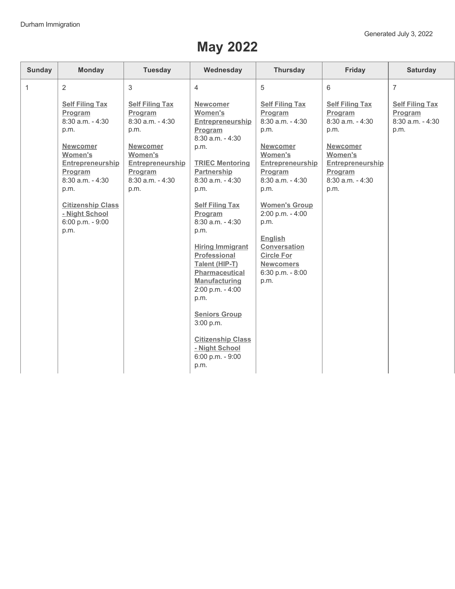## **May 2022**

| <b>Sunday</b> | <b>Monday</b>                                                                                                                                                                                                                              | <b>Tuesday</b>                                                                                                                                            | Wednesday                                                                                                                                                                                                                                                                                                                                                                                                                                                                                            | <b>Thursday</b>                                                                                                                                                                                                                                                                                                          | Friday                                                                                                                                             | <b>Saturday</b>                                               |
|---------------|--------------------------------------------------------------------------------------------------------------------------------------------------------------------------------------------------------------------------------------------|-----------------------------------------------------------------------------------------------------------------------------------------------------------|------------------------------------------------------------------------------------------------------------------------------------------------------------------------------------------------------------------------------------------------------------------------------------------------------------------------------------------------------------------------------------------------------------------------------------------------------------------------------------------------------|--------------------------------------------------------------------------------------------------------------------------------------------------------------------------------------------------------------------------------------------------------------------------------------------------------------------------|----------------------------------------------------------------------------------------------------------------------------------------------------|---------------------------------------------------------------|
| $\mathbf{1}$  | $\overline{2}$                                                                                                                                                                                                                             | 3                                                                                                                                                         | $\overline{4}$                                                                                                                                                                                                                                                                                                                                                                                                                                                                                       | 5                                                                                                                                                                                                                                                                                                                        | 6                                                                                                                                                  | $\overline{7}$                                                |
|               | <b>Self Filing Tax</b><br>Program<br>8:30 a.m. - 4:30<br>p.m.<br><b>Newcomer</b><br><b>Women's</b><br>Entrepreneurship<br>Program<br>$8:30$ a.m. $-4:30$<br>p.m.<br><b>Citizenship Class</b><br>- Night School<br>6:00 p.m. - 9:00<br>p.m. | <b>Self Filing Tax</b><br>Program<br>8:30 a.m. - 4:30<br>p.m.<br><b>Newcomer</b><br>Women's<br>Entrepreneurship<br>Program<br>$8:30$ a.m. $-4:30$<br>p.m. | <b>Newcomer</b><br>Women's<br>Entrepreneurship<br>Program<br>$8:30$ a.m. $-4:30$<br>p.m.<br><b>TRIEC Mentoring</b><br>Partnership<br>$8:30$ a.m. $-4:30$<br>p.m.<br><b>Self Filing Tax</b><br>Program<br>$8:30$ a.m. $-4:30$<br>p.m.<br><b>Hiring Immigrant</b><br><b>Professional</b><br>Talent (HIP-T)<br><b>Pharmaceutical</b><br><b>Manufacturing</b><br>2:00 p.m. - 4:00<br>p.m.<br><b>Seniors Group</b><br>3:00 p.m.<br><b>Citizenship Class</b><br>- Night School<br>6:00 p.m. - 9:00<br>p.m. | <b>Self Filing Tax</b><br>Program<br>8:30 a.m. - 4:30<br>p.m.<br><b>Newcomer</b><br>Women's<br>Entrepreneurship<br>Program<br>$8:30$ a.m. $-4:30$<br>p.m.<br><b>Women's Group</b><br>2:00 p.m. - 4:00<br>p.m.<br><b>English</b><br>Conversation<br><b>Circle For</b><br><b>Newcomers</b><br>$6:30$ p.m. - $8:00$<br>p.m. | <b>Self Filing Tax</b><br>Program<br>8:30 a.m. - 4:30<br>p.m.<br>Newcomer<br>Women's<br>Entrepreneurship<br>Program<br>$8:30$ a.m. $-4:30$<br>p.m. | <b>Self Filing Tax</b><br>Program<br>8:30 a.m. - 4:30<br>p.m. |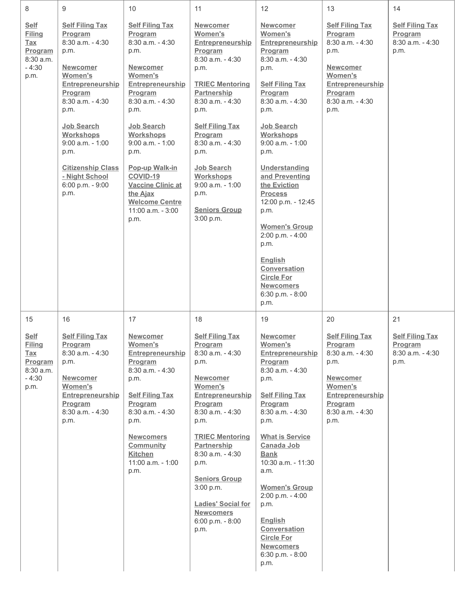| 8                                                                                           | 9                                                                                                                                                                                                                                                                                                          | 10                                                                                                                                                                                                                                                                                                                                                           | 11                                                                                                                                                                                                                                                                                                                                                               | 12                                                                                                                                                                                                                                                                                                                                                                                                                                                                                      | 13                                                                                                                                                                     | 14                                                                      |
|---------------------------------------------------------------------------------------------|------------------------------------------------------------------------------------------------------------------------------------------------------------------------------------------------------------------------------------------------------------------------------------------------------------|--------------------------------------------------------------------------------------------------------------------------------------------------------------------------------------------------------------------------------------------------------------------------------------------------------------------------------------------------------------|------------------------------------------------------------------------------------------------------------------------------------------------------------------------------------------------------------------------------------------------------------------------------------------------------------------------------------------------------------------|-----------------------------------------------------------------------------------------------------------------------------------------------------------------------------------------------------------------------------------------------------------------------------------------------------------------------------------------------------------------------------------------------------------------------------------------------------------------------------------------|------------------------------------------------------------------------------------------------------------------------------------------------------------------------|-------------------------------------------------------------------------|
| <b>Self</b><br><b>Filing</b><br><b>Tax</b><br>Program<br>8:30 a.m.<br>$-4:30$<br>p.m.       | <b>Self Filing Tax</b><br>Program<br>$8:30$ a.m. $-4:30$<br>p.m.<br><b>Newcomer</b><br><b>Women's</b><br>Entrepreneurship<br>Program<br>8:30 a.m. - 4:30<br>p.m.<br><b>Job Search</b><br>Workshops<br>$9:00$ a.m. - 1:00<br>p.m.<br><b>Citizenship Class</b><br>- Night School<br>6:00 p.m. - 9:00<br>p.m. | <b>Self Filing Tax</b><br>Program<br>$8:30$ a.m. $-4:30$<br>p.m.<br><b>Newcomer</b><br><b>Women's</b><br>Entrepreneurship<br>Program<br>8:30 a.m. - 4:30<br>p.m.<br>Job Search<br>Workshops<br>$9:00$ a.m. - 1:00<br>p.m.<br><b>Pop-up Walk-in</b><br>COVID-19<br><b>Vaccine Clinic at</b><br>the Ajax<br><b>Welcome Centre</b><br>11:00 a.m. - 3:00<br>p.m. | <b>Newcomer</b><br>Women's<br>Entrepreneurship<br>Program<br>$8:30$ a.m. $-4:30$<br>p.m.<br><b>TRIEC Mentoring</b><br>Partnership<br>$8:30$ a.m. $-4:30$<br>p.m.<br><b>Self Filing Tax</b><br>Program<br>$8:30$ a.m. $-4:30$<br>p.m.<br><b>Job Search</b><br>Workshops<br>$9:00$ a.m. - 1:00<br>p.m.<br><b>Seniors Group</b><br>3:00 p.m.                        | <b>Newcomer</b><br>Women's<br>Entrepreneurship<br>Program<br>8:30 a.m. - 4:30<br>p.m.<br><b>Self Filing Tax</b><br>Program<br>$8:30$ a.m. $-4:30$<br>p.m.<br>Job Search<br>Workshops<br>$9:00$ a.m. - 1:00<br>p.m.<br>Understanding<br>and Preventing<br>the Eviction<br><b>Process</b><br>12:00 p.m. - 12:45<br>p.m.<br><b>Women's Group</b><br>2:00 p.m. - 4:00<br>p.m.<br><b>English</b><br><b>Conversation</b><br><b>Circle For</b><br><b>Newcomers</b><br>6:30 p.m. - 8:00<br>p.m. | <b>Self Filing Tax</b><br>Program<br>8:30 a.m. - 4:30<br>p.m.<br><b>Newcomer</b><br><b>Women's</b><br>Entrepreneurship<br>Program<br>8:30 a.m. - 4:30<br>p.m.          | <b>Self Filing Tax</b><br>Program<br>$8:30$ a.m. $-4:30$<br>p.m.        |
| 15<br><b>Self</b><br><b>Filing</b><br><u>Tax</u><br>Program<br>8:30 a.m.<br>$-4:30$<br>p.m. | 16<br><b>Self Filing Tax</b><br>Program<br>$8:30$ a.m. - 4:30<br>p.m.<br><b>Newcomer</b><br>Women's<br><b>Entrepreneurship</b><br>Program<br>8:30 a.m. - 4:30<br>p.m.                                                                                                                                      | 17<br><b>Newcomer</b><br>Women's<br><b>Entrepreneurship</b><br>Program<br>8:30 a.m. - 4:30<br>p.m.<br><b>Self Filing Tax</b><br>Program<br>8:30 a.m. - 4:30<br>p.m.<br><b>Newcomers</b><br><b>Community</b><br><b>Kitchen</b><br>11:00 a.m. - 1:00<br>p.m.                                                                                                   | 18<br><b>Self Filing Tax</b><br>Program<br>$8:30$ a.m. $-4:30$<br>p.m.<br><b>Newcomer</b><br>Women's<br>Entrepreneurship<br>Program<br>8:30 a.m. - 4:30<br>p.m.<br><b>TRIEC Mentoring</b><br><b>Partnership</b><br>$8:30$ a.m. $-4:30$<br>p.m.<br><b>Seniors Group</b><br>3:00 p.m.<br><b>Ladies' Social for</b><br><b>Newcomers</b><br>6:00 p.m. - 8:00<br>p.m. | 19<br><b>Newcomer</b><br>Women's<br><b>Entrepreneurship</b><br>Program<br>8:30 a.m. - 4:30<br>p.m.<br><b>Self Filing Tax</b><br>Program<br>8:30 a.m. - 4:30<br>p.m.<br><b>What is Service</b><br>Canada Job<br><b>Bank</b><br>10:30 a.m. - 11:30<br>a.m.<br><b>Women's Group</b><br>2:00 p.m. - 4:00<br>p.m.<br><b>English</b><br>Conversation<br><b>Circle For</b><br><b>Newcomers</b><br>6:30 p.m. - 8:00<br>p.m.                                                                     | 20<br><b>Self Filing Tax</b><br><b>Program</b><br>$8:30$ a.m. $-4:30$<br>p.m.<br><b>Newcomer</b><br>Women's<br>Entrepreneurship<br>Program<br>8:30 a.m. - 4:30<br>p.m. | 21<br><b>Self Filing Tax</b><br>Program<br>$8:30$ a.m. - $4:30$<br>p.m. |